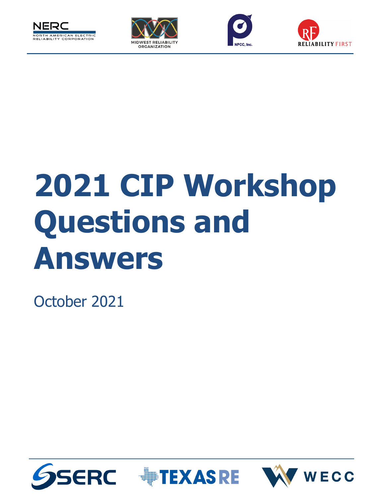







# **2021 CIP Workshop Questions and Answers**

October 2021





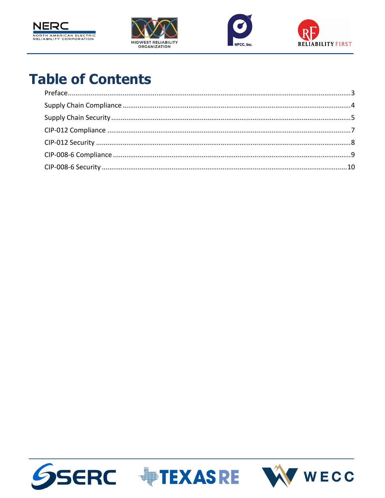







# **Table of Contents**





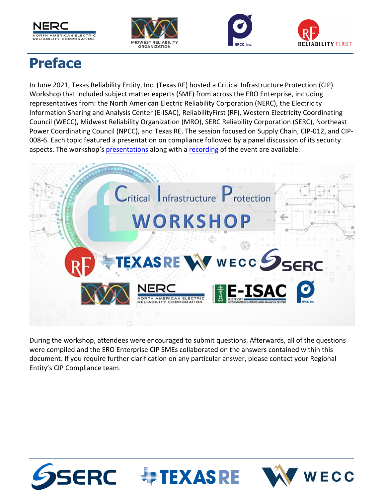







# <span id="page-2-0"></span>**Preface**

In June 2021, Texas Reliability Entity, Inc. (Texas RE) hosted a Critical Infrastructure Protection (CIP) Workshop that included subject matter experts (SME) from across the ERO Enterprise, including representatives from: the North American Electric Reliability Corporation (NERC), the Electricity Information Sharing and Analysis Center (E-ISAC), ReliabilityFirst (RF), Western Electricity Coordinating Council (WECC), Midwest Reliability Organization (MRO), SERC Reliability Corporation (SERC), Northeast Power Coordinating Council (NPCC), and Texas RE. The session focused on Supply Chain, CIP-012, and CIP-008-6. Each topic featured a presentation on compliance followed by a panel discussion of its security aspects. The workshop's [presentations](https://www.texasre.org/Documents/Presentations/CIP%20Workshop%20June%202021.pdf) along with a [recording](https://www.youtube.com/watch?v=MD53h_xNFPc) of the event are available.



During the workshop, attendees were encouraged to submit questions. Afterwards, all of the questions were compiled and the ERO Enterprise CIP SMEs collaborated on the answers contained within this document. If you require further clarification on any particular answer, please contact your Regional Entity's CIP Compliance team.



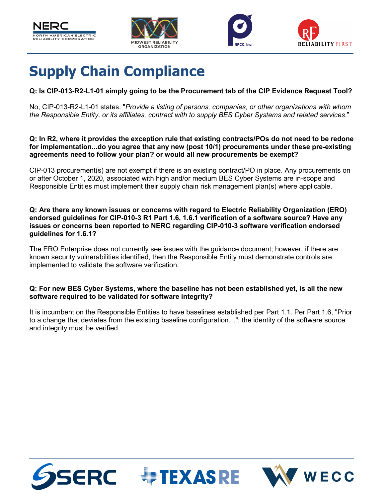







# <span id="page-3-0"></span>**Supply Chain Compliance**

#### **Q: Is CIP-013-R2-L1-01 simply going to be the Procurement tab of the CIP Evidence Request Tool?**

No, CIP-013-R2-L1-01 states. "*Provide a listing of persons, companies, or other organizations with whom the Responsible Entity, or its affiliates, contract with to supply BES Cyber Systems and related services*."

#### **Q: In R2, where it provides the exception rule that existing contracts/POs do not need to be redone for implementation...do you agree that any new (post 10/1) procurements under these pre-existing agreements need to follow your plan? or would all new procurements be exempt?**

CIP-013 procurement(s) are not exempt if there is an existing contract/PO in place. Any procurements on or after October 1, 2020, associated with high and/or medium BES Cyber Systems are in-scope and Responsible Entities must implement their supply chain risk management plan(s) where applicable.

**Q: Are there any known issues or concerns with regard to Electric Reliability Organization (ERO) endorsed guidelines for CIP-010-3 R1 Part 1.6, 1.6.1 verification of a software source? Have any issues or concerns been reported to NERC regarding CIP-010-3 software verification endorsed guidelines for 1.6.1?**

The ERO Enterprise does not currently see issues with the guidance document; however, if there are known security vulnerabilities identified, then the Responsible Entity must demonstrate controls are implemented to validate the software verification.

#### **Q: For new BES Cyber Systems, where the baseline has not been established yet, is all the new software required to be validated for software integrity?**

It is incumbent on the Responsible Entities to have baselines established per Part 1.1. Per Part 1.6, "Prior to a change that deviates from the existing baseline configuration…"; the identity of the software source and integrity must be verified.





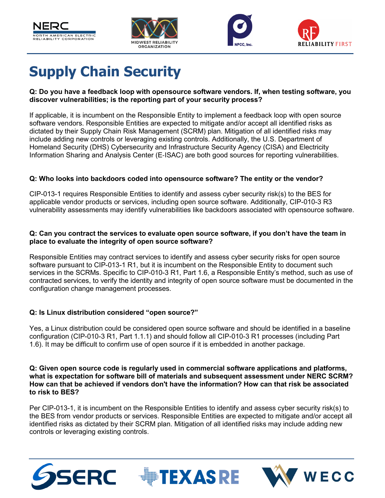







# <span id="page-4-0"></span>**Supply Chain Security**

#### **Q: Do you have a feedback loop with opensource software vendors. If, when testing software, you discover vulnerabilities; is the reporting part of your security process?**

If applicable, it is incumbent on the Responsible Entity to implement a feedback loop with open source software vendors. Responsible Entities are expected to mitigate and/or accept all identified risks as dictated by their Supply Chain Risk Management (SCRM) plan. Mitigation of all identified risks may include adding new controls or leveraging existing controls. Additionally, the U.S. Department of Homeland Security (DHS) Cybersecurity and Infrastructure Security Agency (CISA) and Electricity Information Sharing and Analysis Center (E‑ISAC) are both good sources for reporting vulnerabilities.

#### **Q: Who looks into backdoors coded into opensource software? The entity or the vendor?**

CIP-013-1 requires Responsible Entities to identify and assess cyber security risk(s) to the BES for applicable vendor products or services, including open source software. Additionally, CIP-010-3 R3 vulnerability assessments may identify vulnerabilities like backdoors associated with opensource software.

#### **Q: Can you contract the services to evaluate open source software, if you don't have the team in place to evaluate the integrity of open source software?**

Responsible Entities may contract services to identify and assess cyber security risks for open source software pursuant to CIP-013-1 R1, but it is incumbent on the Responsible Entity to document such services in the SCRMs. Specific to CIP-010-3 R1, Part 1.6, a Responsible Entity's method, such as use of contracted services, to verify the identity and integrity of open source software must be documented in the configuration change management processes.

#### **Q: Is Linux distribution considered "open source?"**

Yes, a Linux distribution could be considered open source software and should be identified in a baseline configuration (CIP-010-3 R1, Part 1.1.1) and should follow all CIP-010-3 R1 processes (including Part 1.6). It may be difficult to confirm use of open source if it is embedded in another package.

#### **Q: Given open source code is regularly used in commercial software applications and platforms, what is expectation for software bill of materials and subsequent assessment under NERC SCRM? How can that be achieved if vendors don't have the information? How can that risk be associated to risk to BES?**

Per CIP-013-1, it is incumbent on the Responsible Entities to identify and assess cyber security risk(s) to the BES from vendor products or services. Responsible Entities are expected to mitigate and/or accept all identified risks as dictated by their SCRM plan. Mitigation of all identified risks may include adding new controls or leveraging existing controls.



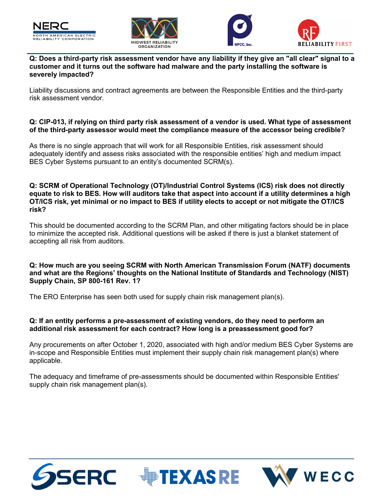







**Q: Does a third-party risk assessment vendor have any liability if they give an "all clear" signal to a customer and it turns out the software had malware and the party installing the software is severely impacted?**

Liability discussions and contract agreements are between the Responsible Entities and the third-party risk assessment vendor.

#### **Q: CIP-013, if relying on third party risk assessment of a vendor is used. What type of assessment of the third-party assessor would meet the compliance measure of the accessor being credible?**

As there is no single approach that will work for all Responsible Entities, risk assessment should adequately identify and assess risks associated with the responsible entities' high and medium impact BES Cyber Systems pursuant to an entity's documented SCRM(s).

#### **Q: SCRM of Operational Technology (OT)/Industrial Control Systems (ICS) risk does not directly equate to risk to BES. How will auditors take that aspect into account if a utility determines a high OT/ICS risk, yet minimal or no impact to BES if utility elects to accept or not mitigate the OT/ICS risk?**

This should be documented according to the SCRM Plan, and other mitigating factors should be in place to minimize the accepted risk. Additional questions will be asked if there is just a blanket statement of accepting all risk from auditors.

**Q: How much are you seeing SCRM with North American Transmission Forum (NATF) documents and what are the Regions' thoughts on the National Institute of Standards and Technology (NIST) Supply Chain, SP 800-161 Rev. 1?**

The ERO Enterprise has seen both used for supply chain risk management plan(s).

#### **Q: If an entity performs a pre-assessment of existing vendors, do they need to perform an additional risk assessment for each contract? How long is a preassessment good for?**

Any procurements on after October 1, 2020, associated with high and/or medium BES Cyber Systems are in-scope and Responsible Entities must implement their supply chain risk management plan(s) where applicable.

The adequacy and timeframe of pre-assessments should be documented within Responsible Entities' supply chain risk management plan(s).



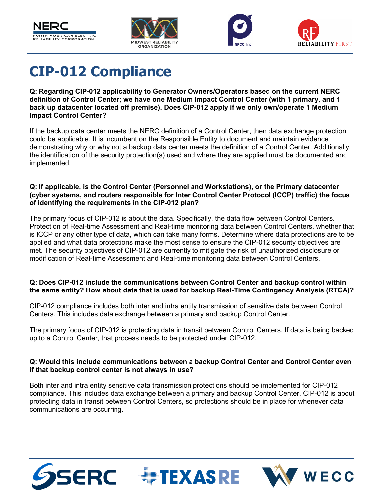







## <span id="page-6-0"></span>**CIP-012 Compliance**

**Q: Regarding CIP-012 applicability to Generator Owners/Operators based on the current NERC definition of Control Center; we have one Medium Impact Control Center (with 1 primary, and 1 back up datacenter located off premise). Does CIP-012 apply if we only own/operate 1 Medium Impact Control Center?**

If the backup data center meets the NERC definition of a Control Center, then data exchange protection could be applicable. It is incumbent on the Responsible Entity to document and maintain evidence demonstrating why or why not a backup data center meets the definition of a Control Center. Additionally, the identification of the security protection(s) used and where they are applied must be documented and implemented.

#### **Q: If applicable, is the Control Center (Personnel and Workstations), or the Primary datacenter (cyber systems, and routers responsible for Inter Control Center Protocol (ICCP) traffic) the focus of identifying the requirements in the CIP-012 plan?**

The primary focus of CIP-012 is about the data. Specifically, the data flow between Control Centers. Protection of Real-time Assessment and Real-time monitoring data between Control Centers, whether that is ICCP or any other type of data, which can take many forms. Determine where data protections are to be applied and what data protections make the most sense to ensure the CIP-012 security objectives are met. The security objectives of CIP-012 are currently to mitigate the risk of unauthorized disclosure or modification of Real-time Assessment and Real-time monitoring data between Control Centers.

#### **Q: Does CIP-012 include the communications between Control Center and backup control within the same entity? How about data that is used for backup Real-Time Contingency Analysis (RTCA)?**

CIP-012 compliance includes both inter and intra entity transmission of sensitive data between Control Centers. This includes data exchange between a primary and backup Control Center.

The primary focus of CIP-012 is protecting data in transit between Control Centers. If data is being backed up to a Control Center, that process needs to be protected under CIP-012.

#### **Q: Would this include communications between a backup Control Center and Control Center even if that backup control center is not always in use?**

Both inter and intra entity sensitive data transmission protections should be implemented for CIP-012 compliance. This includes data exchange between a primary and backup Control Center. CIP-012 is about protecting data in transit between Control Centers, so protections should be in place for whenever data communications are occurring.



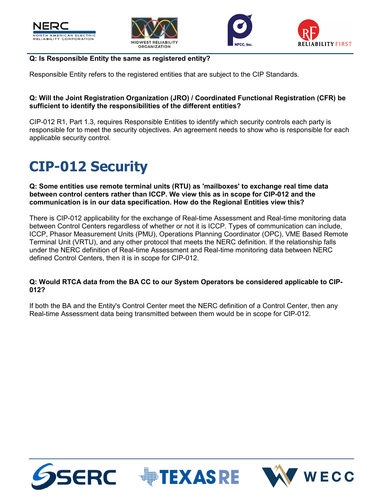







#### **Q: Is Responsible Entity the same as registered entity?**

Responsible Entity refers to the registered entities that are subject to the CIP Standards.

#### **Q: Will the Joint Registration Organization (JRO) / Coordinated Functional Registration (CFR) be sufficient to identify the responsibilities of the different entities?**

CIP-012 R1, Part 1.3, requires Responsible Entities to identify which security controls each party is responsible for to meet the security objectives. An agreement needs to show who is responsible for each applicable security control.

# <span id="page-7-0"></span>**CIP-012 Security**

**Q: Some entities use remote terminal units (RTU) as 'mailboxes' to exchange real time data between control centers rather than ICCP. We view this as in scope for CIP-012 and the communication is in our data specification. How do the Regional Entities view this?**

There is CIP-012 applicability for the exchange of Real-time Assessment and Real-time monitoring data between Control Centers regardless of whether or not it is ICCP. Types of communication can include, ICCP, Phasor Measurement Units (PMU), Operations Planning Coordinator (OPC), VME Based Remote Terminal Unit (VRTU), and any other protocol that meets the NERC definition. If the relationship falls under the NERC definition of Real-time Assessment and Real-time monitoring data between NERC defined Control Centers, then it is in scope for CIP-012.

#### **Q: Would RTCA data from the BA CC to our System Operators be considered applicable to CIP-012?**

If both the BA and the Entity's Control Center meet the NERC definition of a Control Center, then any Real-time Assessment data being transmitted between them would be in scope for CIP-012.





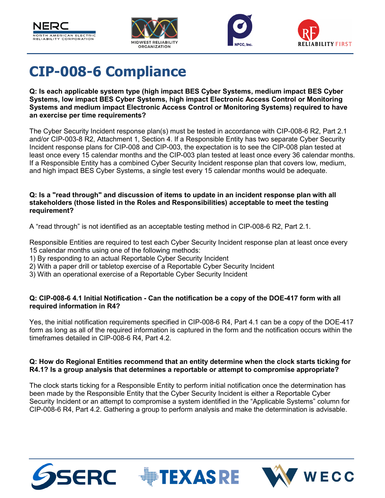







### <span id="page-8-0"></span>**CIP-008-6 Compliance**

**Q: Is each applicable system type (high impact BES Cyber Systems, medium impact BES Cyber Systems, low impact BES Cyber Systems, high impact Electronic Access Control or Monitoring Systems and medium impact Electronic Access Control or Monitoring Systems) required to have an exercise per time requirements?**

The Cyber Security Incident response plan(s) must be tested in accordance with CIP-008-6 R2, Part 2.1 and/or CIP-003-8 R2, Attachment 1, Section 4. If a Responsible Entity has two separate Cyber Security Incident response plans for CIP-008 and CIP-003, the expectation is to see the CIP-008 plan tested at least once every 15 calendar months and the CIP-003 plan tested at least once every 36 calendar months. If a Responsible Entity has a combined Cyber Security Incident response plan that covers low, medium, and high impact BES Cyber Systems, a single test every 15 calendar months would be adequate.

#### **Q: Is a "read through" and discussion of items to update in an incident response plan with all stakeholders (those listed in the Roles and Responsibilities) acceptable to meet the testing requirement?**

A "read through" is not identified as an acceptable testing method in CIP-008-6 R2, Part 2.1.

Responsible Entities are required to test each Cyber Security Incident response plan at least once every 15 calendar months using one of the following methods:

- 1) By responding to an actual Reportable Cyber Security Incident
- 2) With a paper drill or tabletop exercise of a Reportable Cyber Security Incident
- 3) With an operational exercise of a Reportable Cyber Security Incident

#### **Q: CIP-008-6 4.1 Initial Notification - Can the notification be a copy of the DOE-417 form with all required information in R4?**

Yes, the initial notification requirements specified in CIP-008-6 R4, Part 4.1 can be a copy of the DOE-417 form as long as all of the required information is captured in the form and the notification occurs within the timeframes detailed in CIP-008-6 R4, Part 4.2.

#### **Q: How do Regional Entities recommend that an entity determine when the clock starts ticking for R4.1? Is a group analysis that determines a reportable or attempt to compromise appropriate?**

The clock starts ticking for a Responsible Entity to perform initial notification once the determination has been made by the Responsible Entity that the Cyber Security Incident is either a Reportable Cyber Security Incident or an attempt to compromise a system identified in the "Applicable Systems" column for CIP-008-6 R4, Part 4.2. Gathering a group to perform analysis and make the determination is advisable.